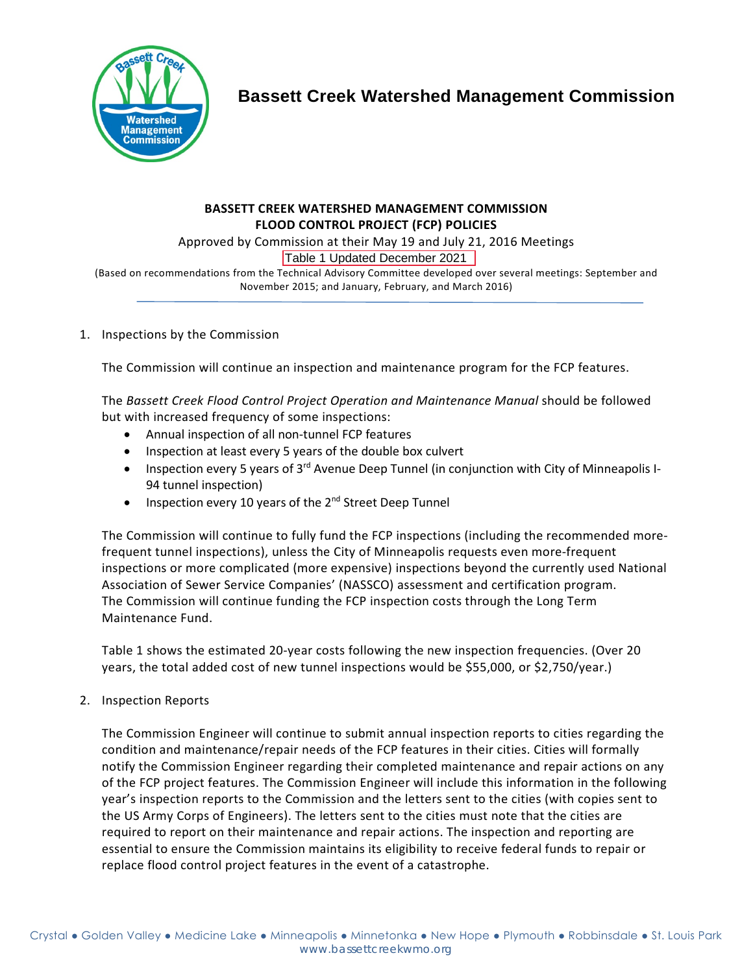

# **Bassett Creek Watershed Management Commission**

#### **BASSETT CREEK WATERSHED MANAGEMENT COMMISSION FLOOD CONTROL PROJECT (FCP) POLICIES**

Approved by Commission at their May 19 and July 21, 2016 Meetings

Table 1 Updated December 2021

(Based on recommendations from the Technical Advisory Committee developed over several meetings: September and November 2015; and January, February, and March 2016)

### 1. Inspections by the Commission

The Commission will continue an inspection and maintenance program for the FCP features.

The *Bassett Creek Flood Control Project Operation and Maintenance Manual* should be followed but with increased frequency of some inspections:

- Annual inspection of all non-tunnel FCP features
- Inspection at least every 5 years of the double box culvert
- Inspection every 5 years of 3<sup>rd</sup> Avenue Deep Tunnel (in conjunction with City of Minneapolis I-94 tunnel inspection)
- Inspection every 10 years of the 2<sup>nd</sup> Street Deep Tunnel

The Commission will continue to fully fund the FCP inspections (including the recommended morefrequent tunnel inspections), unless the City of Minneapolis requests even more-frequent inspections or more complicated (more expensive) inspections beyond the currently used National Association of Sewer Service Companies' (NASSCO) assessment and certification program. The Commission will continue funding the FCP inspection costs through the Long Term Maintenance Fund.

Table 1 shows the estimated 20-year costs following the new inspection frequencies. (Over 20 years, the total added cost of new tunnel inspections would be \$55,000, or \$2,750/year.)

2. Inspection Reports

The Commission Engineer will continue to submit annual inspection reports to cities regarding the condition and maintenance/repair needs of the FCP features in their cities. Cities will formally notify the Commission Engineer regarding their completed maintenance and repair actions on any of the FCP project features. The Commission Engineer will include this information in the following year's inspection reports to the Commission and the letters sent to the cities (with copies sent to the US Army Corps of Engineers). The letters sent to the cities must note that the cities are required to report on their maintenance and repair actions. The inspection and reporting are essential to ensure the Commission maintains its eligibility to receive federal funds to repair or replace flood control project features in the event of a catastrophe.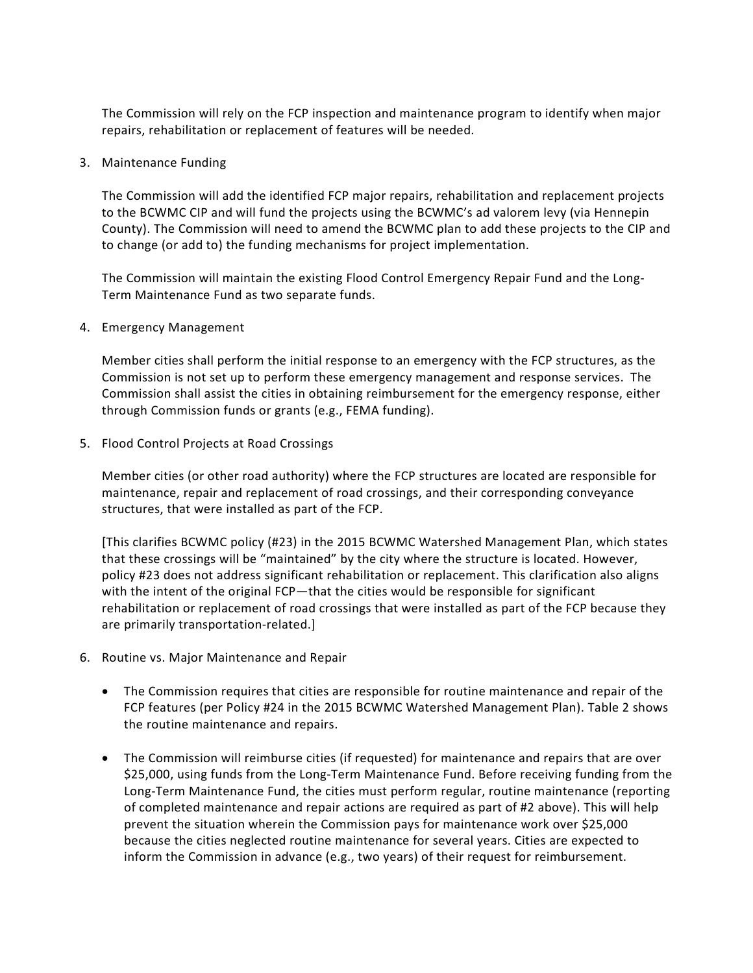The Commission will rely on the FCP inspection and maintenance program to identify when major repairs, rehabilitation or replacement of features will be needed.

3. Maintenance Funding

The Commission will add the identified FCP major repairs, rehabilitation and replacement projects to the BCWMC CIP and will fund the projects using the BCWMC's ad valorem levy (via Hennepin County). The Commission will need to amend the BCWMC plan to add these projects to the CIP and to change (or add to) the funding mechanisms for project implementation.

The Commission will maintain the existing Flood Control Emergency Repair Fund and the Long-Term Maintenance Fund as two separate funds.

4. Emergency Management

Member cities shall perform the initial response to an emergency with the FCP structures, as the Commission is not set up to perform these emergency management and response services. The Commission shall assist the cities in obtaining reimbursement for the emergency response, either through Commission funds or grants (e.g., FEMA funding).

5. Flood Control Projects at Road Crossings

Member cities (or other road authority) where the FCP structures are located are responsible for maintenance, repair and replacement of road crossings, and their corresponding conveyance structures, that were installed as part of the FCP.

[This clarifies BCWMC policy (#23) in the 2015 BCWMC Watershed Management Plan, which states that these crossings will be "maintained" by the city where the structure is located. However, policy #23 does not address significant rehabilitation or replacement. This clarification also aligns with the intent of the original FCP—that the cities would be responsible for significant rehabilitation or replacement of road crossings that were installed as part of the FCP because they are primarily transportation-related.]

- 6. Routine vs. Major Maintenance and Repair
	- The Commission requires that cities are responsible for routine maintenance and repair of the FCP features (per Policy #24 in the 2015 BCWMC Watershed Management Plan). Table 2 shows the routine maintenance and repairs.
	- The Commission will reimburse cities (if requested) for maintenance and repairs that are over \$25,000, using funds from the Long-Term Maintenance Fund. Before receiving funding from the Long-Term Maintenance Fund, the cities must perform regular, routine maintenance (reporting of completed maintenance and repair actions are required as part of #2 above). This will help prevent the situation wherein the Commission pays for maintenance work over \$25,000 because the cities neglected routine maintenance for several years. Cities are expected to inform the Commission in advance (e.g., two years) of their request for reimbursement.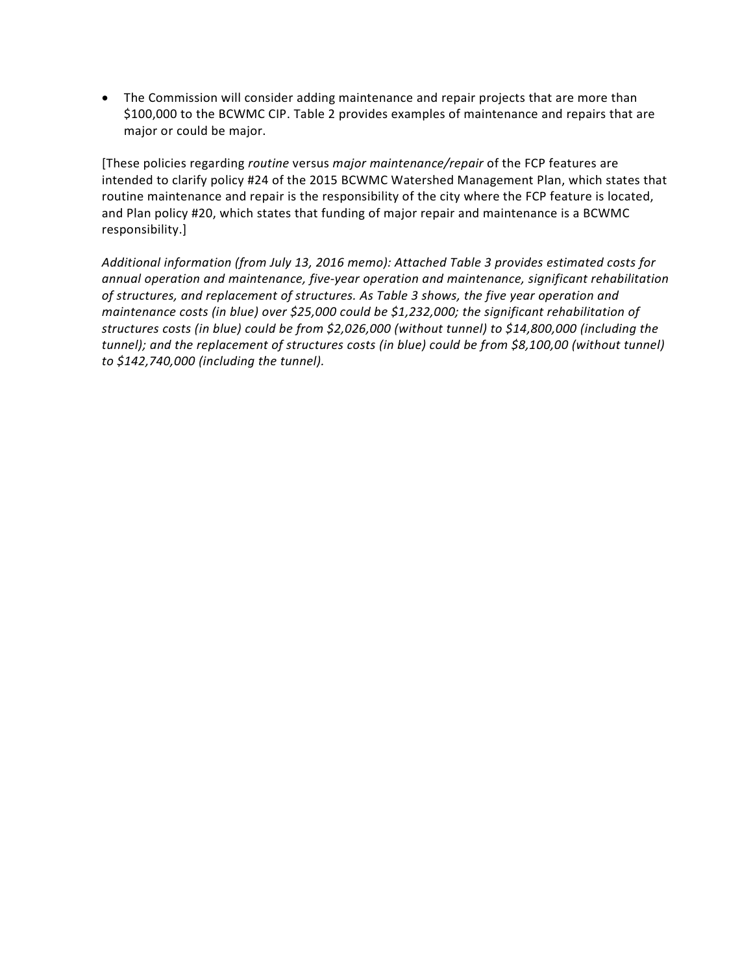• The Commission will consider adding maintenance and repair projects that are more than \$100,000 to the BCWMC CIP. Table 2 provides examples of maintenance and repairs that are major or could be major.

[These policies regarding *routine* versus *major maintenance/repair* of the FCP features are intended to clarify policy #24 of the 2015 BCWMC Watershed Management Plan, which states that routine maintenance and repair is the responsibility of the city where the FCP feature is located, and Plan policy #20, which states that funding of major repair and maintenance is a BCWMC responsibility.]

*Additional information (from July 13, 2016 memo): Attached Table 3 provides estimated costs for annual operation and maintenance, five-year operation and maintenance, significant rehabilitation of structures, and replacement of structures. As Table 3 shows, the five year operation and maintenance costs (in blue) over \$25,000 could be \$1,232,000; the significant rehabilitation of structures costs (in blue) could be from \$2,026,000 (without tunnel) to \$14,800,000 (including the tunnel); and the replacement of structures costs (in blue) could be from \$8,100,00 (without tunnel) to \$142,740,000 (including the tunnel).*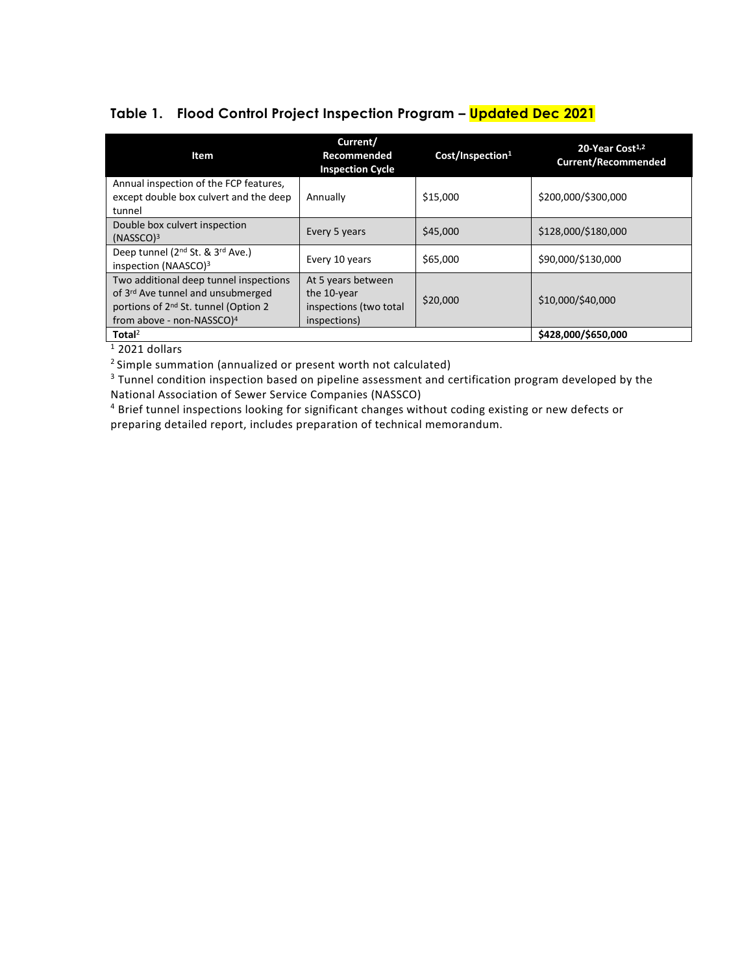### **Table 1. Flood Control Project Inspection Program – Updated Dec 2021**

| Item                                                                                                                                                                                 | Current/<br>Recommended<br><b>Inspection Cycle</b>                          | Cost/Inspection <sup>1</sup> | 20-Year Cost <sup>1,2</sup><br><b>Current/Recommended</b> |  |  |
|--------------------------------------------------------------------------------------------------------------------------------------------------------------------------------------|-----------------------------------------------------------------------------|------------------------------|-----------------------------------------------------------|--|--|
| Annual inspection of the FCP features,<br>except double box culvert and the deep<br>tunnel                                                                                           | Annually                                                                    | \$15,000                     | \$200,000/\$300,000                                       |  |  |
| Double box culvert inspection<br>(NASSCO) <sup>3</sup>                                                                                                                               | Every 5 years                                                               | \$45,000                     | \$128,000/\$180,000                                       |  |  |
| Deep tunnel (2 <sup>nd</sup> St. & 3 <sup>rd</sup> Ave.)<br>inspection (NAASCO) <sup>3</sup>                                                                                         | Every 10 years                                                              | \$65,000                     | \$90,000/\$130,000                                        |  |  |
| Two additional deep tunnel inspections<br>of 3 <sup>rd</sup> Ave tunnel and unsubmerged<br>portions of 2 <sup>nd</sup> St. tunnel (Option 2<br>from above - non-NASSCO) <sup>4</sup> | At 5 years between<br>the 10-year<br>inspections (two total<br>inspections) | \$20,000                     | \$10,000/\$40,000                                         |  |  |
| Total <sup>2</sup>                                                                                                                                                                   |                                                                             |                              | \$428,000/\$650,000                                       |  |  |

 $1$  2021 dollars

2 Simple summation (annualized or present worth not calculated)

<sup>3</sup> Tunnel condition inspection based on pipeline assessment and certification program developed by the National Association of Sewer Service Companies (NASSCO)

<sup>4</sup> Brief tunnel inspections looking for significant changes without coding existing or new defects or preparing detailed report, includes preparation of technical memorandum.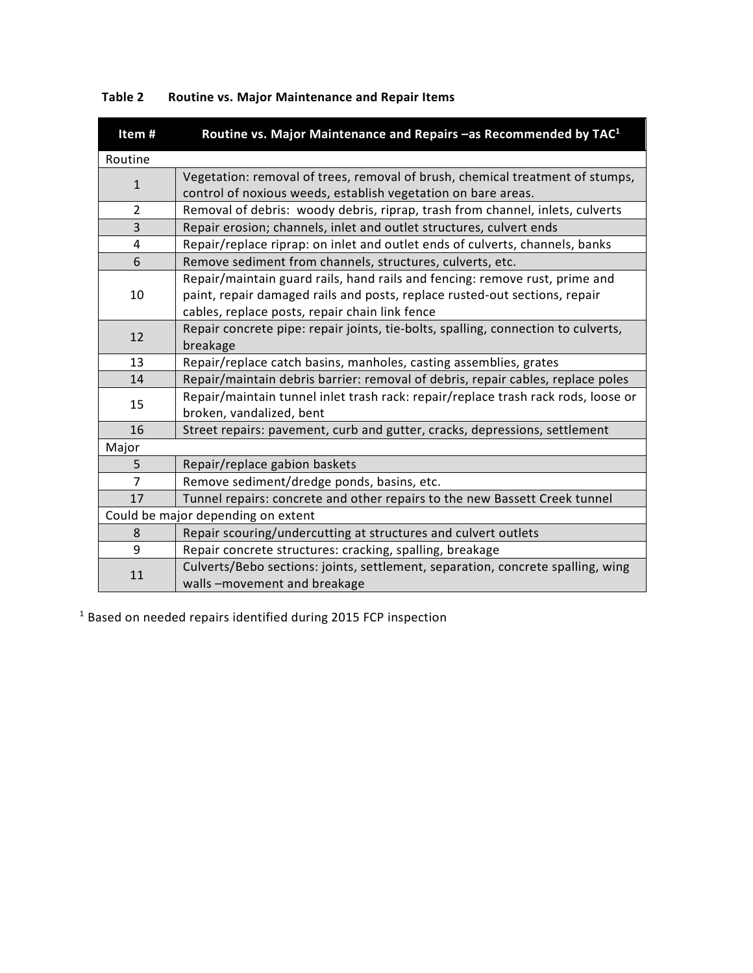| Item#                              | Routine vs. Major Maintenance and Repairs - as Recommended by TAC <sup>1</sup>                                                                                                                              |  |  |  |  |  |
|------------------------------------|-------------------------------------------------------------------------------------------------------------------------------------------------------------------------------------------------------------|--|--|--|--|--|
| Routine                            |                                                                                                                                                                                                             |  |  |  |  |  |
| $\mathbf{1}$                       | Vegetation: removal of trees, removal of brush, chemical treatment of stumps,<br>control of noxious weeds, establish vegetation on bare areas.                                                              |  |  |  |  |  |
| $\overline{2}$                     | Removal of debris: woody debris, riprap, trash from channel, inlets, culverts                                                                                                                               |  |  |  |  |  |
| 3                                  | Repair erosion; channels, inlet and outlet structures, culvert ends                                                                                                                                         |  |  |  |  |  |
| 4                                  | Repair/replace riprap: on inlet and outlet ends of culverts, channels, banks                                                                                                                                |  |  |  |  |  |
| 6                                  | Remove sediment from channels, structures, culverts, etc.                                                                                                                                                   |  |  |  |  |  |
| 10                                 | Repair/maintain guard rails, hand rails and fencing: remove rust, prime and<br>paint, repair damaged rails and posts, replace rusted-out sections, repair<br>cables, replace posts, repair chain link fence |  |  |  |  |  |
| 12                                 | Repair concrete pipe: repair joints, tie-bolts, spalling, connection to culverts,<br>breakage                                                                                                               |  |  |  |  |  |
| 13                                 | Repair/replace catch basins, manholes, casting assemblies, grates                                                                                                                                           |  |  |  |  |  |
| 14                                 | Repair/maintain debris barrier: removal of debris, repair cables, replace poles                                                                                                                             |  |  |  |  |  |
| 15                                 | Repair/maintain tunnel inlet trash rack: repair/replace trash rack rods, loose or<br>broken, vandalized, bent                                                                                               |  |  |  |  |  |
| 16                                 | Street repairs: pavement, curb and gutter, cracks, depressions, settlement                                                                                                                                  |  |  |  |  |  |
| Major                              |                                                                                                                                                                                                             |  |  |  |  |  |
| 5                                  | Repair/replace gabion baskets                                                                                                                                                                               |  |  |  |  |  |
| $\overline{7}$                     | Remove sediment/dredge ponds, basins, etc.                                                                                                                                                                  |  |  |  |  |  |
| 17                                 | Tunnel repairs: concrete and other repairs to the new Bassett Creek tunnel                                                                                                                                  |  |  |  |  |  |
| Could be major depending on extent |                                                                                                                                                                                                             |  |  |  |  |  |
| 8                                  | Repair scouring/undercutting at structures and culvert outlets                                                                                                                                              |  |  |  |  |  |
| 9                                  | Repair concrete structures: cracking, spalling, breakage                                                                                                                                                    |  |  |  |  |  |
| 11                                 | Culverts/Bebo sections: joints, settlement, separation, concrete spalling, wing<br>walls-movement and breakage                                                                                              |  |  |  |  |  |

## **Table 2 Routine vs. Major Maintenance and Repair Items**

<sup>1</sup> Based on needed repairs identified during 2015 FCP inspection